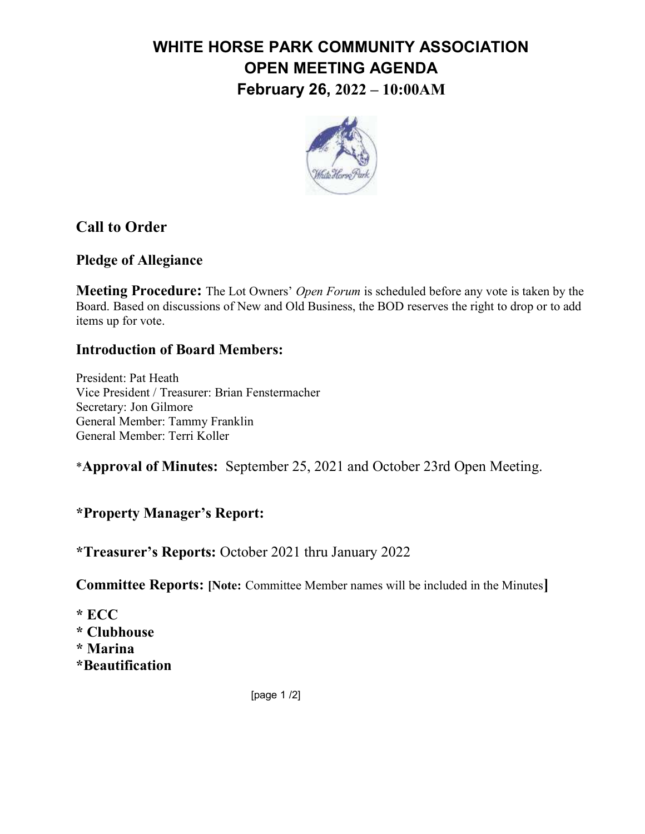# WHITE HORSE PARK COMMUNITY ASSOCIATION OPEN MEETING AGENDA February 26, 2022 – 10:00AM



## Call to Order

#### Pledge of Allegiance

**Meeting Procedure:** The Lot Owners' *Open Forum* is scheduled before any vote is taken by the Board. Based on discussions of New and Old Business, the BOD reserves the right to drop or to add items up for vote.

#### Introduction of Board Members:

President: Pat Heath Vice President / Treasurer: Brian Fenstermacher Secretary: Jon Gilmore General Member: Tammy Franklin General Member: Terri Koller

\*Approval of Minutes: September 25, 2021 and October 23rd Open Meeting.

#### \*Property Manager's Report:

\*Treasurer's Reports: October 2021 thru January 2022

Committee Reports: [Note: Committee Member names will be included in the Minutes]

\* ECC \* Clubhouse \* Marina \*Beautification

[page 1 /2]